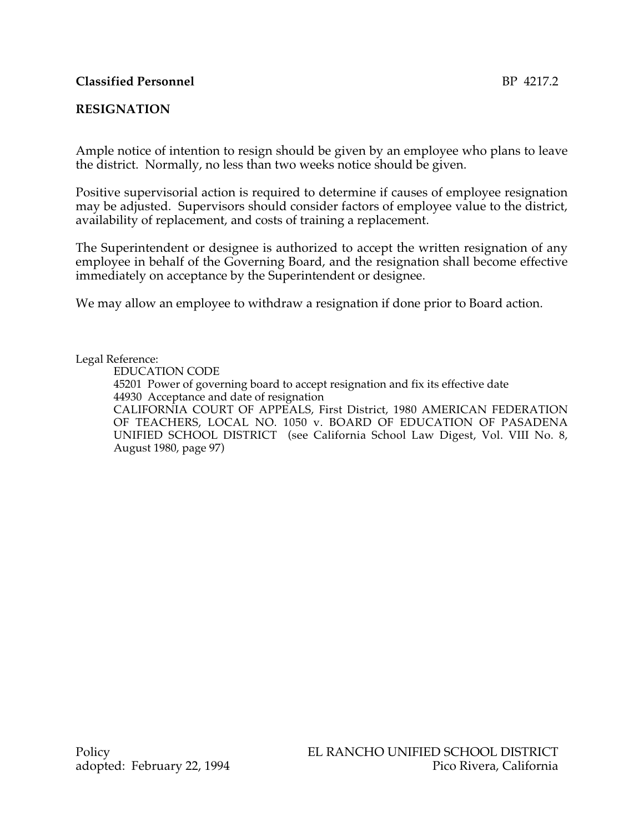# **RESIGNATION**

Ample notice of intention to resign should be given by an employee who plans to leave the district. Normally, no less than two weeks notice should be given.

Positive supervisorial action is required to determine if causes of employee resignation may be adjusted. Supervisors should consider factors of employee value to the district, availability of replacement, and costs of training a replacement.

The Superintendent or designee is authorized to accept the written resignation of any employee in behalf of the Governing Board, and the resignation shall become effective immediately on acceptance by the Superintendent or designee.

We may allow an employee to withdraw a resignation if done prior to Board action.

Legal Reference:

EDUCATION CODE 45201 Power of governing board to accept resignation and fix its effective date 44930 Acceptance and date of resignation CALIFORNIA COURT OF APPEALS, First District, 1980 AMERICAN FEDERATION OF TEACHERS, LOCAL NO. 1050 v. BOARD OF EDUCATION OF PASADENA UNIFIED SCHOOL DISTRICT (see California School Law Digest, Vol. VIII No. 8, August 1980, page 97)